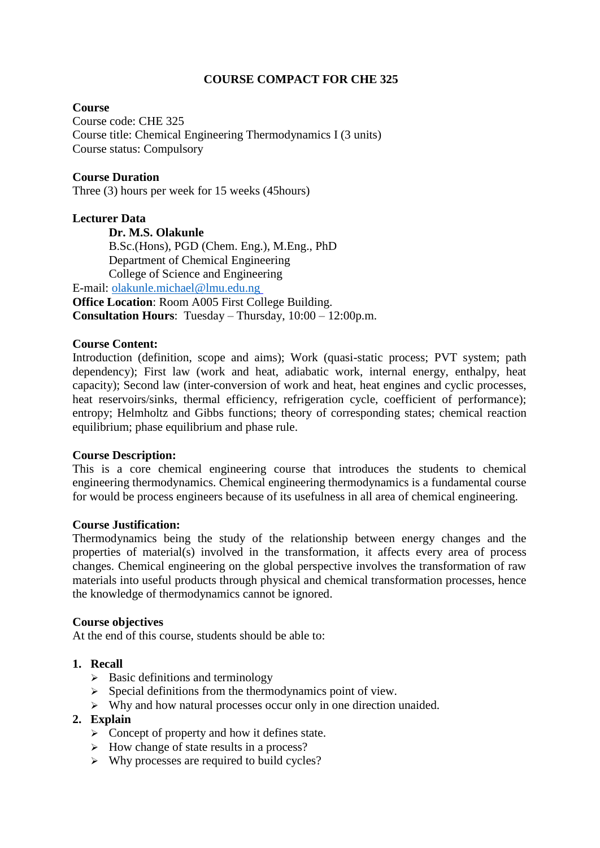## **COURSE COMPACT FOR CHE 325**

#### **Course**

Course code: CHE 325 Course title: Chemical Engineering Thermodynamics I (3 units) Course status: Compulsory

#### **Course Duration**

Three (3) hours per week for 15 weeks (45hours)

## **Lecturer Data**

### **Dr. M.S. Olakunle**

B.Sc.(Hons), PGD (Chem. Eng.), M.Eng., PhD Department of Chemical Engineering College of Science and Engineering

E-mail: [olakunle.michael@lmu.edu.ng](mailto:olakunle.michael@lmu.edu.ng) **Office Location**: Room A005 First College Building. **Consultation Hours**: Tuesday – Thursday, 10:00 – 12:00p.m.

#### **Course Content:**

Introduction (definition, scope and aims); Work (quasi-static process; PVT system; path dependency); First law (work and heat, adiabatic work, internal energy, enthalpy, heat capacity); Second law (inter-conversion of work and heat, heat engines and cyclic processes, heat reservoirs/sinks, thermal efficiency, refrigeration cycle, coefficient of performance); entropy; Helmholtz and Gibbs functions; theory of corresponding states; chemical reaction equilibrium; phase equilibrium and phase rule.

#### **Course Description:**

This is a core chemical engineering course that introduces the students to chemical engineering thermodynamics. Chemical engineering thermodynamics is a fundamental course for would be process engineers because of its usefulness in all area of chemical engineering.

#### **Course Justification:**

Thermodynamics being the study of the relationship between energy changes and the properties of material(s) involved in the transformation, it affects every area of process changes. Chemical engineering on the global perspective involves the transformation of raw materials into useful products through physical and chemical transformation processes, hence the knowledge of thermodynamics cannot be ignored.

### **Course objectives**

At the end of this course, students should be able to:

#### **1. Recall**

- $\triangleright$  Basic definitions and terminology
- $\triangleright$  Special definitions from the thermodynamics point of view.
- $\triangleright$  Why and how natural processes occur only in one direction unaided.

### **2. Explain**

- $\triangleright$  Concept of property and how it defines state.
- $\triangleright$  How change of state results in a process?
- $\triangleright$  Why processes are required to build cycles?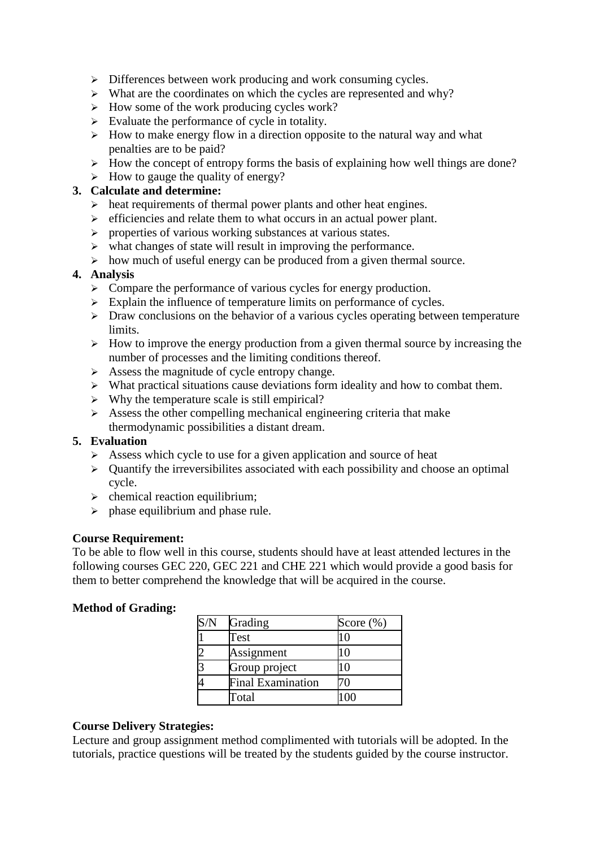- $\triangleright$  Differences between work producing and work consuming cycles.
- $\triangleright$  What are the coordinates on which the cycles are represented and why?
- $\triangleright$  How some of the work producing cycles work?
- $\triangleright$  Evaluate the performance of cycle in totality.
- $\triangleright$  How to make energy flow in a direction opposite to the natural way and what penalties are to be paid?
- $\triangleright$  How the concept of entropy forms the basis of explaining how well things are done?
- $\triangleright$  How to gauge the quality of energy?

## **3. Calculate and determine:**

- $\triangleright$  heat requirements of thermal power plants and other heat engines.
- $\triangleright$  efficiencies and relate them to what occurs in an actual power plant.
- $\triangleright$  properties of various working substances at various states.
- $\triangleright$  what changes of state will result in improving the performance.
- $\triangleright$  how much of useful energy can be produced from a given thermal source.

## **4. Analysis**

- $\triangleright$  Compare the performance of various cycles for energy production.
- $\triangleright$  Explain the influence of temperature limits on performance of cycles.
- $\triangleright$  Draw conclusions on the behavior of a various cycles operating between temperature limits.
- $\triangleright$  How to improve the energy production from a given thermal source by increasing the number of processes and the limiting conditions thereof.
- $\triangleright$  Assess the magnitude of cycle entropy change.
- $\triangleright$  What practical situations cause deviations form ideality and how to combat them.
- $\triangleright$  Why the temperature scale is still empirical?
- $\triangleright$  Assess the other compelling mechanical engineering criteria that make thermodynamic possibilities a distant dream.

### **5. Evaluation**

- $\triangleright$  Assess which cycle to use for a given application and source of heat
- $\triangleright$  Ouantify the irreversibilites associated with each possibility and choose an optimal cycle.
- $\triangleright$  chemical reaction equilibrium;
- $\triangleright$  phase equilibrium and phase rule.

### **Course Requirement:**

To be able to flow well in this course, students should have at least attended lectures in the following courses GEC 220, GEC 221 and CHE 221 which would provide a good basis for them to better comprehend the knowledge that will be acquired in the course.

## **Method of Grading:**

| S/N | Grading                  | Score $(\%)$ |
|-----|--------------------------|--------------|
|     | Test                     |              |
|     | Assignment               |              |
|     | Group project            |              |
|     | <b>Final Examination</b> |              |
|     | Total                    |              |

## **Course Delivery Strategies:**

Lecture and group assignment method complimented with tutorials will be adopted. In the tutorials, practice questions will be treated by the students guided by the course instructor.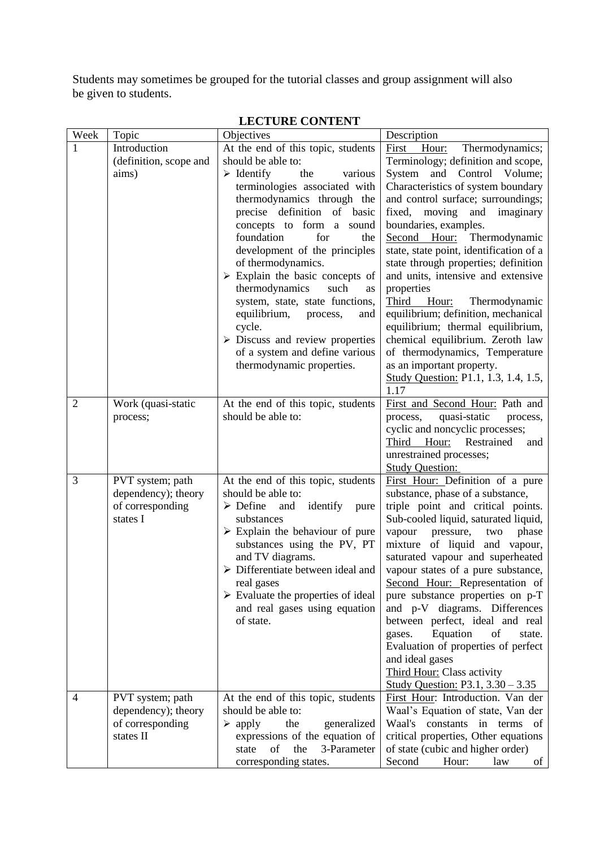Students may sometimes be grouped for the tutorial classes and group assignment will also be given to students.

| Week           | Topic                                                                    | Objectives                                                                                                                                                                                                                                                                                                                                                                                                                                                                                                                                                                                              | Description                                                                                                                                                                                                                                                                                                                                                                                                                                                                                                                                                                                                                                                                      |
|----------------|--------------------------------------------------------------------------|---------------------------------------------------------------------------------------------------------------------------------------------------------------------------------------------------------------------------------------------------------------------------------------------------------------------------------------------------------------------------------------------------------------------------------------------------------------------------------------------------------------------------------------------------------------------------------------------------------|----------------------------------------------------------------------------------------------------------------------------------------------------------------------------------------------------------------------------------------------------------------------------------------------------------------------------------------------------------------------------------------------------------------------------------------------------------------------------------------------------------------------------------------------------------------------------------------------------------------------------------------------------------------------------------|
|                | Introduction<br>(definition, scope and<br>aims)                          | At the end of this topic, students<br>should be able to:<br>$\triangleright$ Identify<br>the<br>various<br>terminologies associated with<br>thermodynamics through the<br>precise definition of basic<br>concepts to form a sound<br>foundation<br>for<br>the<br>development of the principles<br>of thermodynamics.<br>$\triangleright$ Explain the basic concepts of<br>thermodynamics<br>such<br>as<br>system, state, state functions,<br>equilibrium,<br>process,<br>and<br>cycle.<br>$\triangleright$ Discuss and review properties<br>of a system and define various<br>thermodynamic properties. | First<br>Hour:<br>Thermodynamics;<br>Terminology; definition and scope,<br>System and Control Volume;<br>Characteristics of system boundary<br>and control surface; surroundings;<br>fixed, moving and imaginary<br>boundaries, examples.<br>Second Hour: Thermodynamic<br>state, state point, identification of a<br>state through properties; definition<br>and units, intensive and extensive<br>properties<br>Third<br>Hour:<br>Thermodynamic<br>equilibrium; definition, mechanical<br>equilibrium; thermal equilibrium,<br>chemical equilibrium. Zeroth law<br>of thermodynamics, Temperature<br>as an important property.<br>Study Question: P1.1, 1.3, 1.4, 1.5,<br>1.17 |
| $\overline{2}$ | Work (quasi-static<br>process;                                           | At the end of this topic, students<br>should be able to:                                                                                                                                                                                                                                                                                                                                                                                                                                                                                                                                                | First and Second Hour: Path and<br>quasi-static<br>process,<br>process,<br>cyclic and noncyclic processes;<br>Third Hour:<br>Restrained<br>and<br>unrestrained processes;<br><b>Study Question:</b>                                                                                                                                                                                                                                                                                                                                                                                                                                                                              |
| 3              | PVT system; path<br>dependency); theory<br>of corresponding<br>states I  | At the end of this topic, students<br>should be able to:<br>$\triangleright$ Define<br>identify<br>and<br>pure<br>substances<br>$\triangleright$ Explain the behaviour of pure<br>substances using the PV, PT<br>and TV diagrams.<br>$\triangleright$ Differentiate between ideal and<br>real gases<br>$\triangleright$ Evaluate the properties of ideal<br>and real gases using equation<br>of state.                                                                                                                                                                                                  | First Hour: Definition of a pure<br>substance, phase of a substance,<br>triple point and critical points.<br>Sub-cooled liquid, saturated liquid,<br>vapour<br>pressure, two<br>phase<br>mixture of liquid and vapour,<br>saturated vapour and superheated<br>vapour states of a pure substance,<br>Second Hour: Representation of<br>pure substance properties on p-T<br>and p-V diagrams. Differences<br>between perfect, ideal and real<br>Equation<br>of<br>gases.<br>state.<br>Evaluation of properties of perfect<br>and ideal gases<br>Third Hour: Class activity<br>Study Question: P3.1, 3.30 – 3.35                                                                    |
| $\overline{4}$ | PVT system; path<br>dependency); theory<br>of corresponding<br>states II | At the end of this topic, students<br>should be able to:<br>$\triangleright$ apply<br>the<br>generalized<br>expressions of the equation of<br>of<br>the<br>3-Parameter<br>state<br>corresponding states.                                                                                                                                                                                                                                                                                                                                                                                                | First Hour: Introduction. Van der<br>Waal's Equation of state, Van der<br>Waal's<br>constants in terms of<br>critical properties, Other equations<br>of state (cubic and higher order)<br>Second<br>Hour:<br>law<br>of                                                                                                                                                                                                                                                                                                                                                                                                                                                           |

# **LECTURE CONTENT**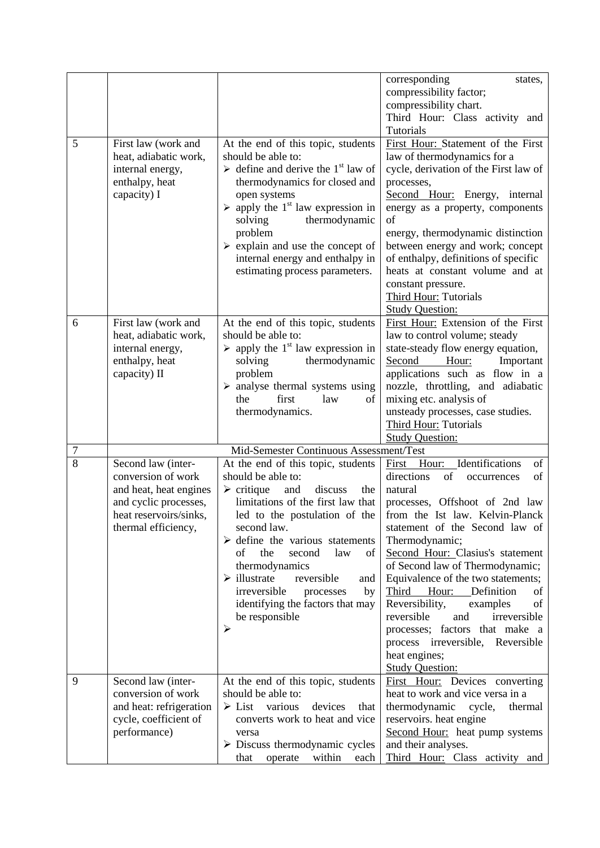| 5      | First law (work and<br>heat, adiabatic work,<br>internal energy,<br>enthalpy, heat<br>capacity) I                                            | At the end of this topic, students<br>should be able to:<br>$\triangleright$ define and derive the 1 <sup>st</sup> law of<br>thermodynamics for closed and<br>open systems<br>$\triangleright$ apply the 1 <sup>st</sup> law expression in<br>thermodynamic<br>solving<br>problem<br>$\triangleright$ explain and use the concept of<br>internal energy and enthalpy in<br>estimating process parameters.                                                     | corresponding<br>states,<br>compressibility factor;<br>compressibility chart.<br>Third Hour: Class activity and<br>Tutorials<br>First Hour: Statement of the First<br>law of thermodynamics for a<br>cycle, derivation of the First law of<br>processes,<br>Second Hour: Energy, internal<br>energy as a property, components<br>of<br>energy, thermodynamic distinction<br>between energy and work; concept<br>of enthalpy, definitions of specific<br>heats at constant volume and at<br>constant pressure.<br><b>Third Hour: Tutorials</b>               |
|--------|----------------------------------------------------------------------------------------------------------------------------------------------|---------------------------------------------------------------------------------------------------------------------------------------------------------------------------------------------------------------------------------------------------------------------------------------------------------------------------------------------------------------------------------------------------------------------------------------------------------------|-------------------------------------------------------------------------------------------------------------------------------------------------------------------------------------------------------------------------------------------------------------------------------------------------------------------------------------------------------------------------------------------------------------------------------------------------------------------------------------------------------------------------------------------------------------|
| 6      | First law (work and<br>heat, adiabatic work,<br>internal energy,<br>enthalpy, heat<br>capacity) II                                           | At the end of this topic, students<br>should be able to:<br>$\triangleright$ apply the 1 <sup>st</sup> law expression in<br>thermodynamic<br>solving<br>problem<br>$\triangleright$ analyse thermal systems using<br>first<br>law<br>the<br>of<br>thermodynamics.                                                                                                                                                                                             | <b>Study Question:</b><br>First Hour: Extension of the First<br>law to control volume; steady<br>state-steady flow energy equation,<br>Second Hour:<br>Important<br>applications such as flow in a<br>nozzle, throttling, and adiabatic<br>mixing etc. analysis of<br>unsteady processes, case studies.<br>Third Hour: Tutorials<br><b>Study Question:</b>                                                                                                                                                                                                  |
| $\tau$ |                                                                                                                                              | Mid-Semester Continuous Assessment/Test                                                                                                                                                                                                                                                                                                                                                                                                                       |                                                                                                                                                                                                                                                                                                                                                                                                                                                                                                                                                             |
| 8      | Second law (inter-<br>conversion of work<br>and heat, heat engines<br>and cyclic processes,<br>heat reservoirs/sinks,<br>thermal efficiency, | At the end of this topic, students<br>should be able to:<br>$\triangleright$ critique<br>discuss<br>and<br>the<br>limitations of the first law that<br>led to the postulation of the<br>second law.<br>$\triangleright$ define the various statements<br>the<br>of<br>second<br>law<br>of<br>thermodynamics<br>$\triangleright$ illustrate<br>reversible<br>and<br>irreversible<br>processes<br>by<br>identifying the factors that may<br>be responsible<br>≻ | Identifications<br>First Hour:<br>of<br>of<br>directions<br>of<br>occurrences<br>natural<br>processes, Offshoot of 2nd law<br>from the Ist law. Kelvin-Planck<br>statement of the Second law of<br>Thermodynamic;<br>Second Hour: Clasius's statement<br>of Second law of Thermodynamic;<br>Equivalence of the two statements;<br>Third Hour:<br>Definition<br>of<br>Reversibility,<br>examples<br>of<br>reversible<br>and<br>irreversible<br>processes; factors that make a<br>process irreversible, Reversible<br>heat engines;<br><b>Study Question:</b> |
| 9      | Second law (inter-<br>conversion of work<br>and heat: refrigeration<br>cycle, coefficient of<br>performance)                                 | At the end of this topic, students<br>should be able to:<br>$\triangleright$ List various<br>devices<br>that<br>converts work to heat and vice<br>versa<br>$\triangleright$ Discuss thermodynamic cycles<br>within<br>that<br>operate<br>each                                                                                                                                                                                                                 | First Hour: Devices converting<br>heat to work and vice versa in a<br>thermodynamic<br>cycle,<br>thermal<br>reservoirs. heat engine<br>Second Hour: heat pump systems<br>and their analyses.<br>Third Hour: Class activity and                                                                                                                                                                                                                                                                                                                              |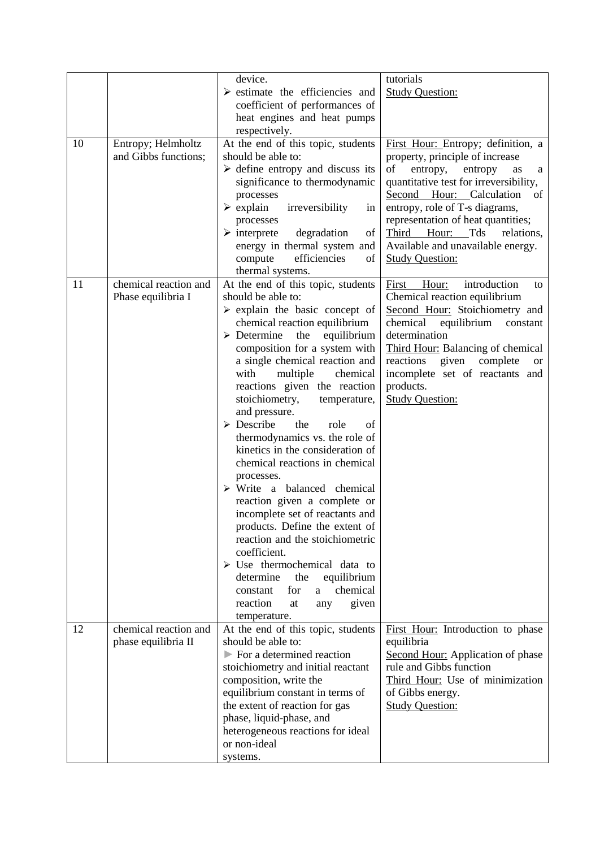|    |                       | device.                                                            | tutorials                                  |
|----|-----------------------|--------------------------------------------------------------------|--------------------------------------------|
|    |                       | $\triangleright$ estimate the efficiencies and                     | <b>Study Question:</b>                     |
|    |                       | coefficient of performances of                                     |                                            |
|    |                       | heat engines and heat pumps                                        |                                            |
|    |                       | respectively.                                                      |                                            |
| 10 | Entropy; Helmholtz    | At the end of this topic, students                                 | First Hour: Entropy; definition, a         |
|    | and Gibbs functions;  | should be able to:                                                 | property, principle of increase            |
|    |                       | $\triangleright$ define entropy and discuss its                    | of<br>entropy,<br>entropy<br>as<br>a       |
|    |                       | significance to thermodynamic                                      | quantitative test for irreversibility,     |
|    |                       | processes                                                          | Second Hour: Calculation<br>of             |
|    |                       | $\triangleright$ explain<br>irreversibility<br>in                  | entropy, role of T-s diagrams,             |
|    |                       | processes                                                          | representation of heat quantities;         |
|    |                       | $\triangleright$ interprete<br>degradation<br>of                   | Third Hour: Tds<br>relations,              |
|    |                       | energy in thermal system and                                       | Available and unavailable energy.          |
|    |                       | compute<br>efficiencies<br>of                                      | <b>Study Question:</b>                     |
| 11 | chemical reaction and | thermal systems.<br>At the end of this topic, students             | introduction<br>First Hour:                |
|    | Phase equilibria I    | should be able to:                                                 | to<br>Chemical reaction equilibrium        |
|    |                       | $\triangleright$ explain the basic concept of                      | Second Hour: Stoichiometry and             |
|    |                       | chemical reaction equilibrium                                      | chemical<br>equilibrium<br>constant        |
|    |                       | $\triangleright$ Determine<br>the<br>equilibrium                   | determination                              |
|    |                       | composition for a system with                                      | Third Hour: Balancing of chemical          |
|    |                       | a single chemical reaction and                                     | given complete<br>reactions<br>or          |
|    |                       | multiple<br>with<br>chemical                                       | incomplete set of reactants and            |
|    |                       | reactions given the reaction                                       | products.                                  |
|    |                       | stoichiometry,<br>temperature,                                     | <b>Study Question:</b>                     |
|    |                       | and pressure.                                                      |                                            |
|    |                       | $\triangleright$ Describe<br>the<br>role<br>of                     |                                            |
|    |                       | thermodynamics vs. the role of                                     |                                            |
|    |                       | kinetics in the consideration of                                   |                                            |
|    |                       | chemical reactions in chemical                                     |                                            |
|    |                       | processes.<br>$\triangleright$ Write a balanced chemical           |                                            |
|    |                       | reaction given a complete or                                       |                                            |
|    |                       | incomplete set of reactants and                                    |                                            |
|    |                       | products. Define the extent of                                     |                                            |
|    |                       | reaction and the stoichiometric                                    |                                            |
|    |                       | coefficient.                                                       |                                            |
|    |                       | $\triangleright$ Use thermochemical data to                        |                                            |
|    |                       | determine<br>the<br>equilibrium                                    |                                            |
|    |                       | chemical<br>for<br>constant<br>a                                   |                                            |
|    |                       | reaction<br>given<br>at<br>any                                     |                                            |
|    |                       | temperature.                                                       |                                            |
| 12 | chemical reaction and | At the end of this topic, students                                 | First Hour: Introduction to phase          |
|    | phase equilibria II   | should be able to:                                                 | equilibria                                 |
|    |                       | $\blacktriangleright$ For a determined reaction                    | Second Hour: Application of phase          |
|    |                       | stoichiometry and initial reactant                                 | rule and Gibbs function                    |
|    |                       | composition, write the                                             | Third Hour: Use of minimization            |
|    |                       | equilibrium constant in terms of<br>the extent of reaction for gas | of Gibbs energy.<br><b>Study Question:</b> |
|    |                       | phase, liquid-phase, and                                           |                                            |
|    |                       | heterogeneous reactions for ideal                                  |                                            |
|    |                       | or non-ideal                                                       |                                            |
|    |                       | systems.                                                           |                                            |